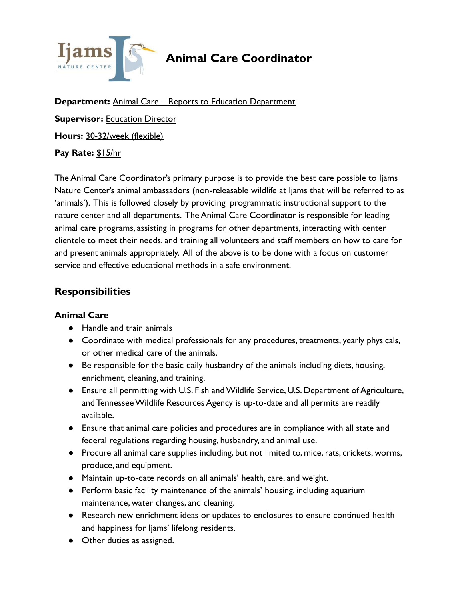

# **Animal Care Coordinator**

**Department:** Animal Care – Reports to Education Department **Supervisor:** Education Director **Hours:** 30-32/week (flexible) **Pay Rate:** \$15/hr

The Animal Care Coordinator's primary purpose is to provide the best care possible to Ijams Nature Center's animal ambassadors (non-releasable wildlife at Ijams that will be referred to as 'animals'). This is followed closely by providing programmatic instructional support to the nature center and all departments. The Animal Care Coordinator is responsible for leading animal care programs, assisting in programs for other departments, interacting with center clientele to meet their needs, and training all volunteers and staff members on how to care for and present animals appropriately. All of the above is to be done with a focus on customer service and effective educational methods in a safe environment.

### **Responsibilities**

#### **Animal Care**

- Handle and train animals
- Coordinate with medical professionals for any procedures, treatments, yearly physicals, or other medical care of the animals.
- Be responsible for the basic daily husbandry of the animals including diets, housing, enrichment, cleaning, and training.
- Ensure all permitting with U.S. Fish and Wildlife Service, U.S. Department of Agriculture, and Tennessee Wildlife Resources Agency is up-to-date and all permits are readily available.
- Ensure that animal care policies and procedures are in compliance with all state and federal regulations regarding housing, husbandry, and animal use.
- Procure all animal care supplies including, but not limited to, mice, rats, crickets, worms, produce, and equipment.
- Maintain up-to-date records on all animals' health, care, and weight.
- Perform basic facility maintenance of the animals' housing, including aquarium maintenance, water changes, and cleaning.
- Research new enrichment ideas or updates to enclosures to ensure continued health and happiness for Ijams' lifelong residents.
- Other duties as assigned.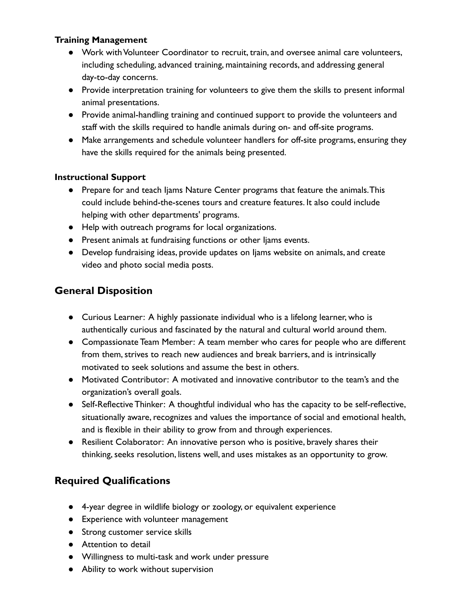#### **Training Management**

- Work with Volunteer Coordinator to recruit, train, and oversee animal care volunteers, including scheduling, advanced training, maintaining records, and addressing general day-to-day concerns.
- Provide interpretation training for volunteers to give them the skills to present informal animal presentations.
- Provide animal-handling training and continued support to provide the volunteers and staff with the skills required to handle animals during on- and off-site programs.
- Make arrangements and schedule volunteer handlers for off-site programs, ensuring they have the skills required for the animals being presented.

#### **Instructional Support**

- Prepare for and teach Ijams Nature Center programs that feature the animals.This could include behind-the-scenes tours and creature features. It also could include helping with other departments' programs.
- Help with outreach programs for local organizations.
- Present animals at fundraising functions or other Ijams events.
- Develop fundraising ideas, provide updates on Ijams website on animals, and create video and photo social media posts.

### **General Disposition**

- Curious Learner: A highly passionate individual who is a lifelong learner, who is authentically curious and fascinated by the natural and cultural world around them.
- Compassionate Team Member: A team member who cares for people who are different from them, strives to reach new audiences and break barriers, and is intrinsically motivated to seek solutions and assume the best in others.
- Motivated Contributor: A motivated and innovative contributor to the team's and the organization's overall goals.
- Self-Reflective Thinker: A thoughtful individual who has the capacity to be self-reflective, situationally aware, recognizes and values the importance of social and emotional health, and is flexible in their ability to grow from and through experiences.
- Resilient Colaborator: An innovative person who is positive, bravely shares their thinking, seeks resolution, listens well, and uses mistakes as an opportunity to grow.

## **Required Qualifications**

- 4-year degree in wildlife biology or zoology, or equivalent experience
- Experience with volunteer management
- Strong customer service skills
- Attention to detail
- Willingness to multi-task and work under pressure
- Ability to work without supervision